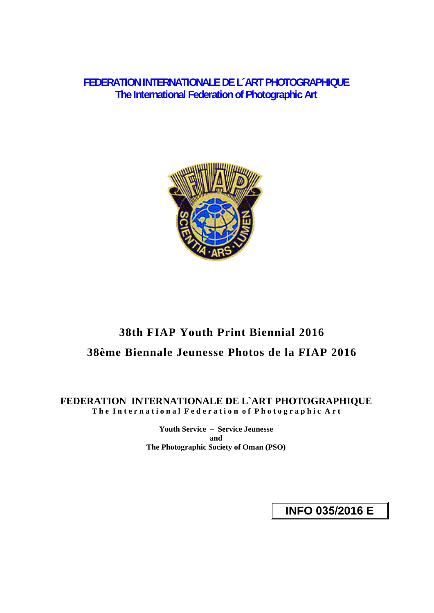**FEDERATION INTERNATIONALE DE L´ART PHOTOGRAPHIQUE The International Federation of Photographic Art** 



# **38th FIAP Youth Print Biennial 2016 38ème Biennale Jeunesse Photos de la FIAP 2016**

## **FEDERATION INTERNATIONALE DE L`ART PHOTOGRAPHIQUE The International Federation of Photographic Art**

**Youth Service – Service Jeunesse and The Photographic Society of Oman (PSO)** 

**INFO 035/2016 E**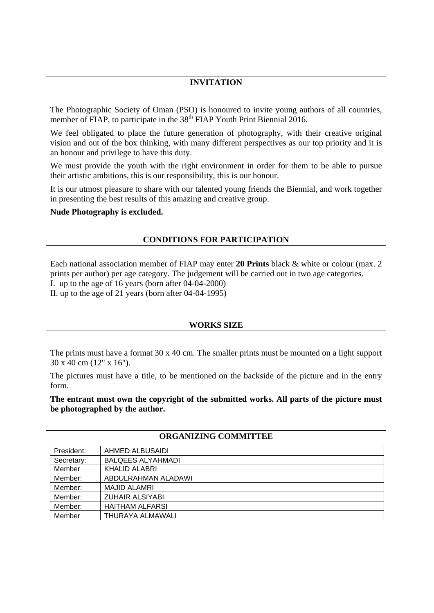## **INVITATION**

The Photographic Society of Oman (PSO) is honoured to invite young authors of all countries, member of FIAP, to participate in the  $38<sup>th</sup>$  FIAP Youth Print Biennial 2016.

We feel obligated to place the future generation of photography, with their creative original vision and out of the box thinking, with many different perspectives as our top priority and it is an honour and privilege to have this duty.

We must provide the youth with the right environment in order for them to be able to pursue their artistic ambitions, this is our responsibility, this is our honour.

It is our utmost pleasure to share with our talented young friends the Biennial, and work together in presenting the best results of this amazing and creative group.

#### **Nude Photography is excluded.**

#### **CONDITIONS FOR PARTICIPATION**

Each national association member of FIAP may enter **20 Prints** black & white or colour (max. 2 prints per author) per age category. The judgement will be carried out in two age categories.

I. up to the age of 16 years (born after 04-04-2000)

II. up to the age of 21 years (born after 04-04-1995)

#### **WORKS SIZE**

The prints must have a format 30 x 40 cm. The smaller prints must be mounted on a light support 30 x 40 cm (12" x 16").

The pictures must have a title, to be mentioned on the backside of the picture and in the entry form.

**The entrant must own the copyright of the submitted works. All parts of the picture must be photographed by the author.** 

| <b>ORGANIZING COMMITTEE</b> |                          |  |  |  |  |
|-----------------------------|--------------------------|--|--|--|--|
| President:                  | AHMED ALBUSAIDI          |  |  |  |  |
| Secretary:                  | <b>BALQEES ALYAHMADI</b> |  |  |  |  |
| Member                      | <b>KHALID ALABRI</b>     |  |  |  |  |
| Member:                     | ABDULRAHMAN ALADAWI      |  |  |  |  |
| Member:                     | <b>MAJID ALAMRI</b>      |  |  |  |  |
| Member:                     | <b>ZUHAIR ALSIYABI</b>   |  |  |  |  |
| Member:                     | <b>HAITHAM ALFARSI</b>   |  |  |  |  |
| Member                      | THURAYA ALMAWALI         |  |  |  |  |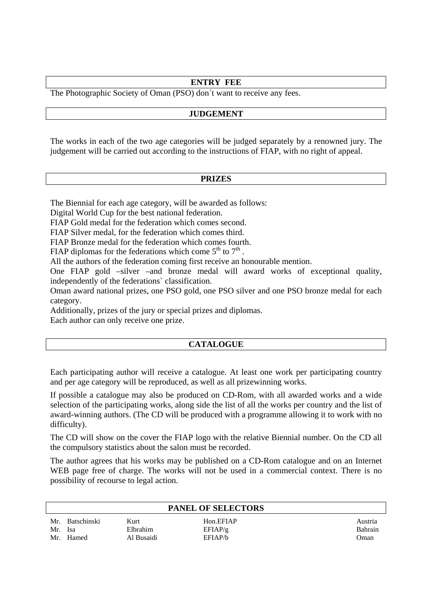## **ENTRY FEE**

The Photographic Society of Oman (PSO) don´t want to receive any fees.

## **JUDGEMENT**

The works in each of the two age categories will be judged separately by a renowned jury. The judgement will be carried out according to the instructions of FIAP, with no right of appeal.

### **PRIZES**

The Biennial for each age category, will be awarded as follows:

Digital World Cup for the best national federation.

FIAP Gold medal for the federation which comes second.

FIAP Silver medal, for the federation which comes third.

FIAP Bronze medal for the federation which comes fourth.

FIAP diplomas for the federations which come  $5<sup>th</sup>$  to  $7<sup>th</sup>$ .

All the authors of the federation coming first receive an honourable mention.

One FIAP gold –silver –and bronze medal will award works of exceptional quality, independently of the federations` classification.

Oman award national prizes, one PSO gold, one PSO silver and one PSO bronze medal for each category.

Additionally, prizes of the jury or special prizes and diplomas.

Each author can only receive one prize.

## **CATALOGUE**

Each participating author will receive a catalogue. At least one work per participating country and per age category will be reproduced, as well as all prizewinning works.

If possible a catalogue may also be produced on CD-Rom, with all awarded works and a wide selection of the participating works, along side the list of all the works per country and the list of award-winning authors. (The CD will be produced with a programme allowing it to work with no difficulty).

The CD will show on the cover the FIAP logo with the relative Biennial number. On the CD all the compulsory statistics about the salon must be recorded.

The author agrees that his works may be published on a CD-Rom catalogue and on an Internet WEB page free of charge. The works will not be used in a commercial context. There is no possibility of recourse to legal action.

| <b>PANEL OF SELECTORS</b> |                             |                                |                                 |                            |  |  |  |
|---------------------------|-----------------------------|--------------------------------|---------------------------------|----------------------------|--|--|--|
| Mr.<br>Mr. Isa<br>Mr.     | <b>Batschinski</b><br>Hamed | Kurt<br>Elbrahim<br>Al Busaidi | Hon.EFIAP<br>EFIAP/g<br>EFIAP/b | Austria<br>Bahrain<br>Oman |  |  |  |